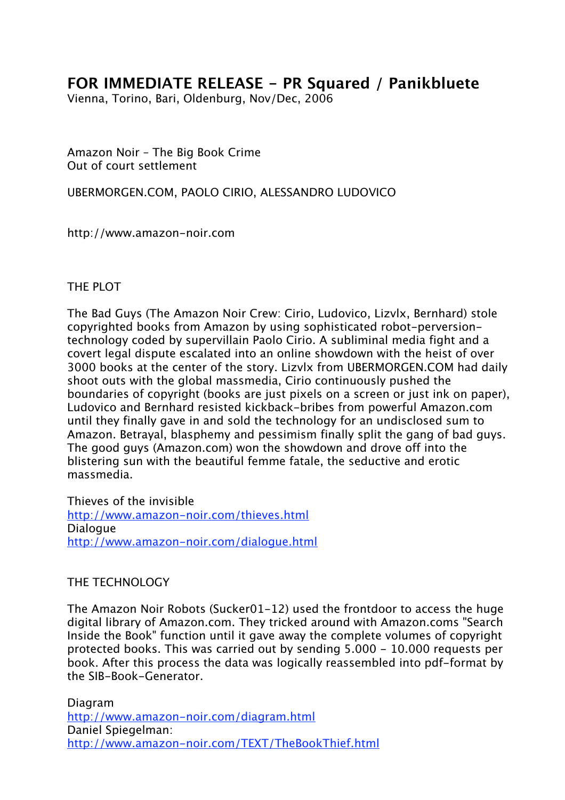## **FOR IMMEDIATE RELEASE - PR Squared / Panikbluete**

Vienna, Torino, Bari, Oldenburg, Nov/Dec, 2006

Amazon Noir – The Big Book Crime Out of court settlement

UBERMORGEN.COM, PAOLO CIRIO, ALESSANDRO LUDOVICO

http://www.amazon-noir.com

## THE PLOT

The Bad Guys (The Amazon Noir Crew: Cirio, Ludovico, Lizvlx, Bernhard) stole copyrighted books from Amazon by using sophisticated robot-perversiontechnology coded by supervillain Paolo Cirio. A subliminal media fight and a covert legal dispute escalated into an online showdown with the heist of over 3000 books at the center of the story. Lizvlx from UBERMORGEN.COM had daily shoot outs with the global massmedia, Cirio continuously pushed the boundaries of copyright (books are just pixels on a screen or just ink on paper), Ludovico and Bernhard resisted kickback-bribes from powerful Amazon.com until they finally gave in and sold the technology for an undisclosed sum to Amazon. Betrayal, blasphemy and pessimism finally split the gang of bad guys. The good guys (Amazon.com) won the showdown and drove off into the blistering sun with the beautiful femme fatale, the seductive and erotic massmedia.

Thieves of the invisible http://www.amazon-noir.com/thieves.html **Dialogue** http://www.amazon-noir.com/dialogue.html

## THE TECHNOLOGY

The Amazon Noir Robots (Sucker01-12) used the frontdoor to access the huge digital library of Amazon.com. They tricked around with Amazon.coms "Search Inside the Book" function until it gave away the complete volumes of copyright protected books. This was carried out by sending 5.000 - 10.000 requests per book. After this process the data was logically reassembled into pdf-format by the SIB-Book-Generator.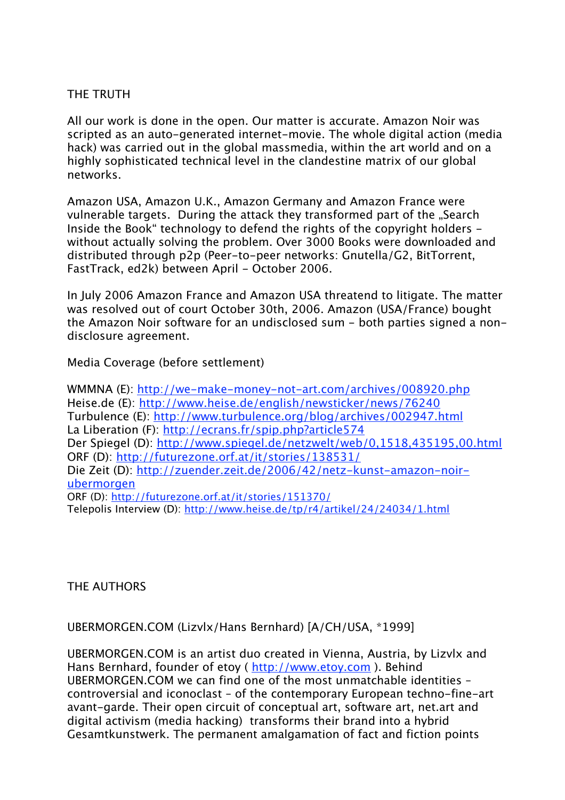## THE TRUTH

All our work is done in the open. Our matter is accurate. Amazon Noir was scripted as an auto-generated internet-movie. The whole digital action (media hack) was carried out in the global massmedia, within the art world and on a highly sophisticated technical level in the clandestine matrix of our global networks.

Amazon USA, Amazon U.K., Amazon Germany and Amazon France were vulnerable targets. During the attack they transformed part of the "Search Inside the Book" technology to defend the rights of the copyright holders without actually solving the problem. Over 3000 Books were downloaded and distributed through p2p (Peer-to-peer networks: Gnutella/G2, BitTorrent, FastTrack, ed2k) between April - October 2006.

In July 2006 Amazon France and Amazon USA threatend to litigate. The matter was resolved out of court October 30th, 2006. Amazon (USA/France) bought the Amazon Noir software for an undisclosed sum - both parties signed a nondisclosure agreement.

Media Coverage (before settlement)

WMMNA (E): http://we-make-money-not-art.com/archives/008920.php Heise.de (E): http://www.heise.de/english/newsticker/news/76240 Turbulence (E): http://www.turbulence.org/blog/archives/002947.html La Liberation (F): http://ecrans.fr/spip.php?article574 Der Spiegel (D): http://www.spiegel.de/netzwelt/web/0,1518,435195,00.html ORF (D): http://futurezone.orf.at/it/stories/138531/ Die Zeit (D): http://zuender.zeit.de/2006/42/netz-kunst-amazon-noirubermorgen ORF (D): http://futurezone.orf.at/it/stories/151370/ Telepolis Interview (D): http://www.heise.de/tp/r4/artikel/24/24034/1.html

THE AUTHORS

UBERMORGEN.COM (Lizvlx/Hans Bernhard) [A/CH/USA, \*1999]

UBERMORGEN.COM is an artist duo created in Vienna, Austria, by Lizvlx and Hans Bernhard, founder of etoy ( http://www.etoy.com ). Behind UBERMORGEN.COM we can find one of the most unmatchable identities – controversial and iconoclast – of the contemporary European techno-fine-art avant-garde. Their open circuit of conceptual art, software art, net.art and digital activism (media hacking) transforms their brand into a hybrid Gesamtkunstwerk. The permanent amalgamation of fact and fiction points